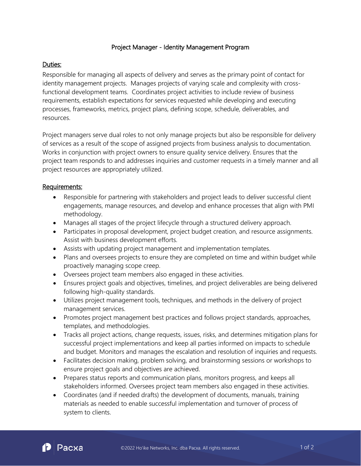#### Project Manager - Identity Management Program

### Duties:

Responsible for managing all aspects of delivery and serves as the primary point of contact for identity management projects. Manages projects of varying scale and complexity with crossfunctional development teams. Coordinates project activities to include review of business requirements, establish expectations for services requested while developing and executing processes, frameworks, metrics, project plans, defining scope, schedule, deliverables, and resources.

Project managers serve dual roles to not only manage projects but also be responsible for delivery of services as a result of the scope of assigned projects from business analysis to documentation. Works in conjunction with project owners to ensure quality service delivery. Ensures that the project team responds to and addresses inquiries and customer requests in a timely manner and all project resources are appropriately utilized.

#### Requirements:

- Responsible for partnering with stakeholders and project leads to deliver successful client engagements, manage resources, and develop and enhance processes that align with PMI methodology.
- Manages all stages of the project lifecycle through a structured delivery approach.
- Participates in proposal development, project budget creation, and resource assignments. Assist with business development efforts.
- Assists with updating project management and implementation templates.
- Plans and oversees projects to ensure they are completed on time and within budget while proactively managing scope creep.
- Oversees project team members also engaged in these activities.
- Ensures project goals and objectives, timelines, and project deliverables are being delivered following high-quality standards.
- Utilizes project management tools, techniques, and methods in the delivery of project management services.
- Promotes project management best practices and follows project standards, approaches, templates, and methodologies.
- Tracks all project actions, change requests, issues, risks, and determines mitigation plans for successful project implementations and keep all parties informed on impacts to schedule and budget. Monitors and manages the escalation and resolution of inquiries and requests.
- Facilitates decision making, problem solving, and brainstorming sessions or workshops to ensure project goals and objectives are achieved.
- Prepares status reports and communication plans, monitors progress, and keeps all stakeholders informed. Oversees project team members also engaged in these activities.
- Coordinates (and if needed drafts) the development of documents, manuals, training materials as needed to enable successful implementation and turnover of process of system to clients.